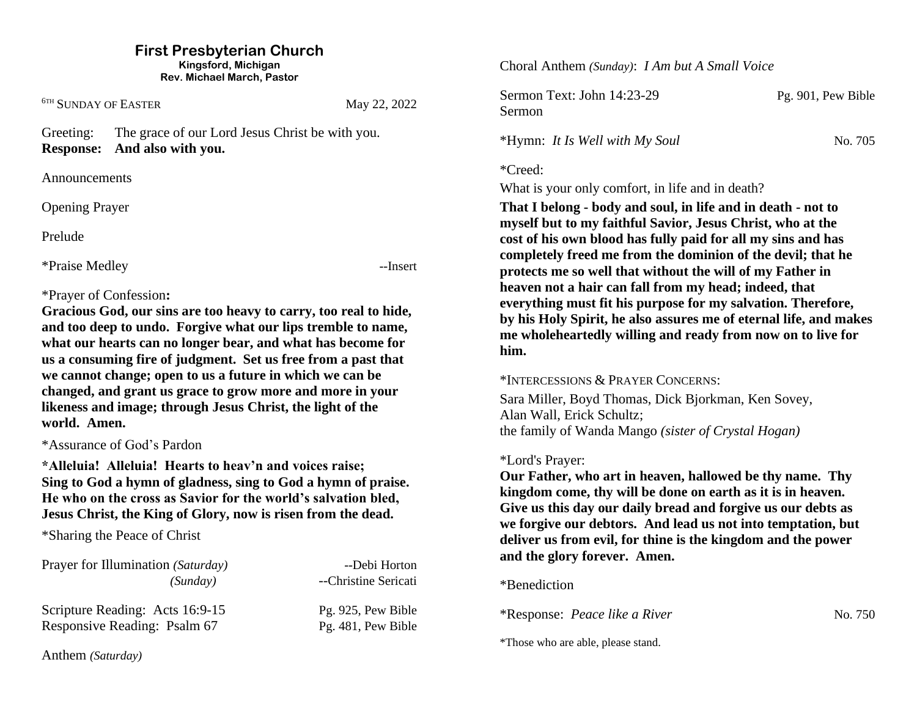#### **First Presbyterian Church Kingsford, Michigan**

**Rev. Michael March, Pastor**

<sup>6TH</sup> SUNDAY OF EASTER May 22, 2022

Greeting: The grace of our Lord Jesus Christ be with you. **Response: And also with you.**

Announcements

Opening Prayer

Prelude

\*Praise Medley --Insert

# \*Prayer of Confession**:**

**Gracious God, our sins are too heavy to carry, too real to hide, and too deep to undo. Forgive what our lips tremble to name, what our hearts can no longer bear, and what has become for us a consuming fire of judgment. Set us free from a past that we cannot change; open to us a future in which we can be changed, and grant us grace to grow more and more in your likeness and image; through Jesus Christ, the light of the world. Amen.**

\*Assurance of God's Pardon

**\*Alleluia! Alleluia! Hearts to heav'n and voices raise; Sing to God a hymn of gladness, sing to God a hymn of praise. He who on the cross as Savior for the world's salvation bled, Jesus Christ, the King of Glory, now is risen from the dead.**

\*Sharing the Peace of Christ

Prayer for Illumination *(Saturday)* ---Debi Horton *(Sunday)* --Christine Sericati Scripture Reading: Acts 16:9-15 Pg. 925, Pew Bible Responsive Reading: Psalm 67 Pg. 481, Pew Bible

Choral Anthem *(Sunday)*: *I Am but A Small Voice*

Sermon Text: John 14:23-29 Pg. 901, Pew Bible Sermon

\*Hymn: *It Is Well with My Soul* No. 705

\*Creed:

What is your only comfort, in life and in death?

**That I belong - body and soul, in life and in death - not to myself but to my faithful Savior, Jesus Christ, who at the cost of his own blood has fully paid for all my sins and has completely freed me from the dominion of the devil; that he protects me so well that without the will of my Father in heaven not a hair can fall from my head; indeed, that everything must fit his purpose for my salvation. Therefore, by his Holy Spirit, he also assures me of eternal life, and makes me wholeheartedly willing and ready from now on to live for him.**

# \*INTERCESSIONS & PRAYER CONCERNS:

Sara Miller, Boyd Thomas, Dick Bjorkman, Ken Sovey, Alan Wall, Erick Schultz; the family of Wanda Mango *(sister of Crystal Hogan)*

# \*Lord's Prayer:

**Our Father, who art in heaven, hallowed be thy name. Thy kingdom come, thy will be done on earth as it is in heaven. Give us this day our daily bread and forgive us our debts as we forgive our debtors. And lead us not into temptation, but deliver us from evil, for thine is the kingdom and the power and the glory forever. Amen.**

\*Benediction

\*Response: *Peace like a River* No. 750

\*Those who are able, please stand.

Anthem *(Saturday)*